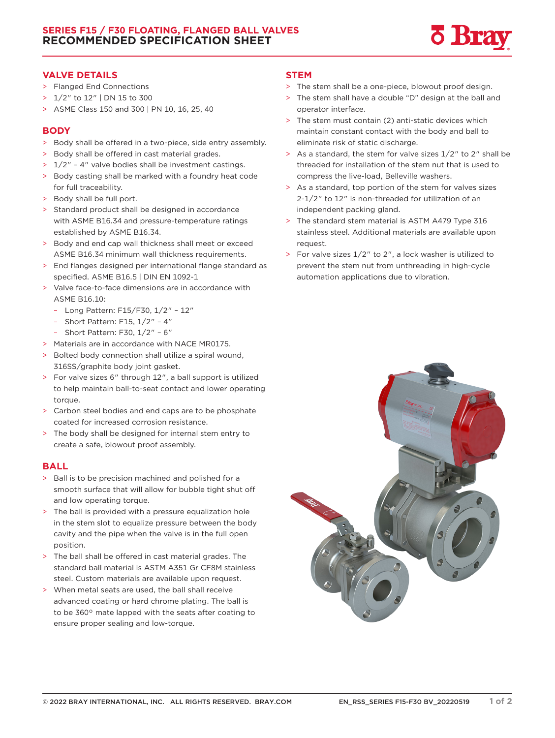

## **VALVE DETAILS**

- > Flanged End Connections
- > 1/2" to 12" | DN 15 to 300
- > ASME Class 150 and 300 | PN 10, 16, 25, 40

# **BODY**

- > Body shall be offered in a two-piece, side entry assembly.
- > Body shall be offered in cast material grades.
- > 1/2" 4" valve bodies shall be investment castings.
- > Body casting shall be marked with a foundry heat code for full traceability.
- > Body shall be full port.
- > Standard product shall be designed in accordance with ASME B16.34 and pressure-temperature ratings established by ASME B16.34.
- > Body and end cap wall thickness shall meet or exceed ASME B16.34 minimum wall thickness requirements.
- > End flanges designed per international flange standard as specified. ASME B16.5 | DIN EN 1092-1
- > Valve face-to-face dimensions are in accordance with ASME B16.10:
	- Long Pattern: F15/F30, 1/2" 12"
	- Short Pattern: F15, 1/2" 4"
	- Short Pattern: F30, 1/2" 6"
- > Materials are in accordance with NACE MR0175.
- > Bolted body connection shall utilize a spiral wound, 316SS/graphite body joint gasket.
- > For valve sizes 6" through 12", a ball support is utilized to help maintain ball-to-seat contact and lower operating torque.
- > Carbon steel bodies and end caps are to be phosphate coated for increased corrosion resistance.
- > The body shall be designed for internal stem entry to create a safe, blowout proof assembly.

### **BALL**

- > Ball is to be precision machined and polished for a smooth surface that will allow for bubble tight shut off and low operating torque.
- The ball is provided with a pressure equalization hole in the stem slot to equalize pressure between the body cavity and the pipe when the valve is in the full open position.
- > The ball shall be offered in cast material grades. The standard ball material is ASTM A351 Gr CF8M stainless steel. Custom materials are available upon request.
- > When metal seats are used, the ball shall receive advanced coating or hard chrome plating. The ball is to be 360° mate lapped with the seats after coating to ensure proper sealing and low-torque.

#### **STEM**

- > The stem shall be a one-piece, blowout proof design.
- The stem shall have a double "D" design at the ball and operator interface.
- > The stem must contain (2) anti-static devices which maintain constant contact with the body and ball to eliminate risk of static discharge.
- > As a standard, the stem for valve sizes 1/2" to 2" shall be threaded for installation of the stem nut that is used to compress the live-load, Belleville washers.
- > As a standard, top portion of the stem for valves sizes 2-1/2" to 12" is non-threaded for utilization of an independent packing gland.
- > The standard stem material is ASTM A479 Type 316 stainless steel. Additional materials are available upon request.
- > For valve sizes 1/2" to 2", a lock washer is utilized to prevent the stem nut from unthreading in high-cycle automation applications due to vibration.